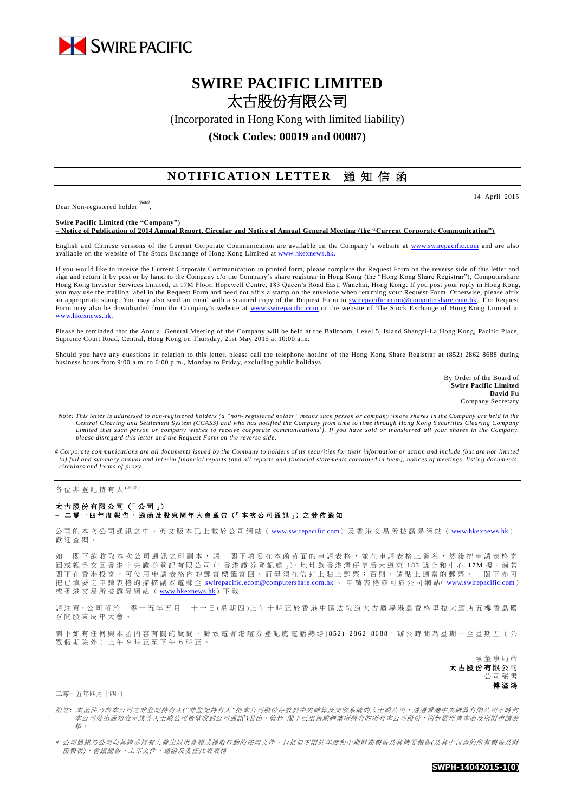

# **SWIRE PACIFIC LIMITED** 太古股份有限公司

(Incorporated in Hong Kong with limited liability)

# **(Stock Codes: 00019 and 00087)**

# **NOTIFICATION LETTER** 通知信函

Dear Non-registered holder *(Note)* , 14 April 2015

**Swire Pacific Limited (the "Company") – Notice of Publication of 2014 Annual Report, Circular and Notice of Annual General Meeting (the "Current Corporate Communication")**

English and Chinese versions of the Current Corporate Communication are available on the Company's website at [www.swirepacific.com](http://www.swirepacific.com/) and are also available on the website of The Stock Exchange of Hong Kong Limited at [www.hkexnews.hk.](http://www.hkexnews.hk/)

If you would like to receive the Current Corporate Communication in printed form, please complete the Request Form on the reverse side of this letter and sign and return it by post or by hand to the Company c/o the Company's share registrar in Hong Kong (the "Hong Kong Share Registrar"), Computershare Hong Kong Investor Services Limited, at 17M Floor, Hopewell Centre, 183 Queen's Road East, Wanchai, Hong Kong. If you post your reply in Hong Kong, you may use the mailing label in the Request Form and need not affix a stamp on the envelope when returning your Request Form. Otherwise, please affix an appropriate stamp. You may also send an email with a scanned copy of the Request Form to [swirepacific.ecom@computershare.com.hk.](mailto:swirepacific.ecom@computershare.com.hk) The Request Form may also be downloaded from the Company's website at [www.swirepacific.com](http://www.swirepacific.com/) or the website of The Stock Exchange of Hong Kong Limited at [www.hkexnews.hk.](http://www.hkexnews.hk/)

Please be reminded that the Annual General Meeting of the Company will be held at the Ballroom, Level 5, Island Shangri-La Hong Kong, Pacific Place, Supreme Court Road, Central, Hong Kong on Thursday, 21st May 2015 at 10:00 a.m.

Should you have any questions in relation to this letter, please call the telephone hotline of the Hong Kong Share Registrar at (852) 2862 8688 during business hours from 9:00 a.m. to 6:00 p.m., Monday to Friday, excluding public holidays.

> By Order of the Board of **Swire Pacific Limited David Fu** Company Secretary

- *Note: This letter is addressed to non-registered holders (a "non- registered holder" means such person or company whose shares in the Company are held in the*  Central Clearing and Settlement System (CCASS) and who has notified the Company from time to time through Hong Kong Securities Clearing Company<br>Limited that such person or company wishes to receive corporate communications *please disregard this letter and the Request Form on the reverse side.*
- *# Corporate communications are all documents issued by the Company to holders of its securities for their information or action and include (but are not limited to) full and summary annual and interim financial reports (and all reports and financial statements contained in them), notices of meetings, listing documents, circulars and forms of proxy.*

各位非登記持有人<sup>( / 注)</sup>:

#### 太古股份有限公司 (「公司」) **–** 二 零 一 四 年度報告 、通函 及 股 東 周 年 大 會 通 告 (「 本 次 公 司 通 訊 」) 之 發 佈 通 知

公司的本次公司通訊之中、英文版本已上載於公司網站 ([www.swirepacific.com](http://www.swirepacific.com/)) 及香港交易所披露易網站 ([www.hkexnews.hk](http://www.hkexnews.hk/)), 歡 迎 查閱。

如 閣下欲收取本次公司通訊之印刷本,請 閣下填妥在本函背面的申請表格,並在申請表格上簽名,然後把申請表格寄 回 或親手交回 香 港 中 央 證 券 登 記 有 限 公 司(「 香 港 證 券 登 記 處 」), 地 址 為 香 港 灣 仔 皇 后 大 道 東 1 8 3 號合和中心 1 7 M 樓 。 倘 若 閣下在香港投寄,可使用申請表格內的郵寄標籤寄回,而毋須在信封上貼上郵票;否則,請貼上適當的郵票。 閣下亦可 把已填妥之申請表格的掃描副本電郵至 [swirepacific.ecom@computershare.com.hk](mailto:swirepacific.ecom@computershare.com.hk) 。 申請表格亦可於公司網站( [www.swirepacific.com](http://www.swirepacific.com/)) 或香港交易所披露易網站 ( [www.hkexnews.hk](http://www.hkexnews.hk/)) 下載

請注意,公司將於二零一五年五月二十一日(星期四)上午十時正於香港中區法院道太古廣場港島香格里拉大酒店五樓香島殿 召 開 股 東 周 年大會。

閣下如有任何與本函內容有關的疑問,請致電香港證券登記處電話熱線(852) 2862 8688,辦公時間為星期一至星期五(公 眾假期除外)上午 9 時正至下午 6 時正。

> 承董事 局 命 太古股份有限公司 公司秘書 傅溢鴻

二零一五年四月十四日

附註*:* 本函件乃向本公司之非登記持有人*("*非登記持有人*"*指本公司股份存放於中央結算及交收系統的人士或公司,透過香港中央結算有限公司不時向 本公司發出通知表示該等人士或公司希望收到公司通訊<sup>+</sup>)發出。 倘若 閣下已出售或轉讓所持有的所有本公司股份,則無需理會本函及所附申請表 格。

*#* 公司通訊乃公司向其證券持有人發出以供參照或採取行動的任何文件,包括但不限於年度和中期財務報告及其摘要報告*(*及其中包含的所有報告及財 務報表*)*、會議通告、上市文件、通函及委任代表表格。

**SWPH-14042015-1(0)**